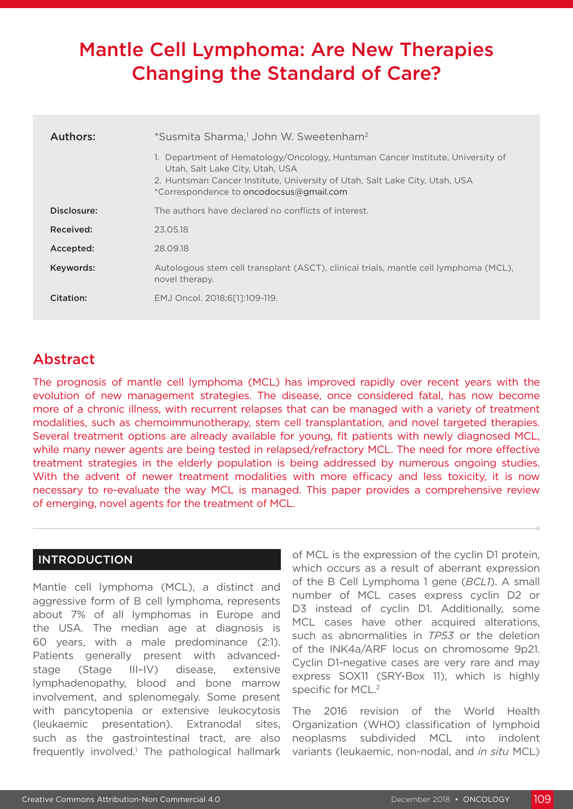# Mantle Cell Lymphoma: Are New Therapies Changing the Standard of Care?

| Authors:    | *Susmita Sharma, <sup>1</sup> John W. Sweetenham <sup>2</sup>                                                                                                                                                                               |  |  |  |  |
|-------------|---------------------------------------------------------------------------------------------------------------------------------------------------------------------------------------------------------------------------------------------|--|--|--|--|
|             | 1. Department of Hematology/Oncology, Huntsman Cancer Institute, University of<br>Utah, Salt Lake City, Utah, USA<br>2. Huntsman Cancer Institute, University of Utah, Salt Lake City, Utah, USA<br>*Correspondence to oncodocsus@gmail.com |  |  |  |  |
| Disclosure: | The authors have declared no conflicts of interest.                                                                                                                                                                                         |  |  |  |  |
| Received:   | 23.05.18                                                                                                                                                                                                                                    |  |  |  |  |
| Accepted:   | 28.09.18                                                                                                                                                                                                                                    |  |  |  |  |
| Keywords:   | Autologous stem cell transplant (ASCT), clinical trials, mantle cell lymphoma (MCL),<br>novel therapy.                                                                                                                                      |  |  |  |  |
| Citation:   | EMJ Oncol. 2018:6[11:109-119.                                                                                                                                                                                                               |  |  |  |  |

# Abstract

The prognosis of mantle cell lymphoma (MCL) has improved rapidly over recent years with the evolution of new management strategies. The disease, once considered fatal, has now become more of a chronic illness, with recurrent relapses that can be managed with a variety of treatment modalities, such as chemoimmunotherapy, stem cell transplantation, and novel targeted therapies. Several treatment options are already available for young, fit patients with newly diagnosed MCL, while many newer agents are being tested in relapsed/refractory MCL. The need for more effective treatment strategies in the elderly population is being addressed by numerous ongoing studies. With the advent of newer treatment modalities with more efficacy and less toxicity, it is now necessary to re-evaluate the way MCL is managed. This paper provides a comprehensive review of emerging, novel agents for the treatment of MCL.

## INTRODUCTION

Mantle cell lymphoma (MCL), a distinct and aggressive form of B cell lymphoma, represents about 7% of all lymphomas in Europe and the USA. The median age at diagnosis is 60 years, with a male predominance (2:1). Patients generally present with advancedstage (Stage III–IV) disease, extensive lymphadenopathy, blood and bone marrow involvement, and splenomegaly. Some present with pancytopenia or extensive leukocytosis (leukaemic presentation). Extranodal sites, such as the gastrointestinal tract, are also frequently involved.<sup>1</sup> The pathological hallmark of MCL is the expression of the cyclin D1 protein, which occurs as a result of aberrant expression of the B Cell Lymphoma 1 gene (*BCL1*). A small number of MCL cases express cyclin D2 or D3 instead of cyclin D1. Additionally, some MCL cases have other acquired alterations, such as abnormalities in *TP53* or the deletion of the INK4a/ARF locus on chromosome 9p21. Cyclin D1-negative cases are very rare and may express SOX11 (SRY-Box 11), which is highly specific for MCL.<sup>2</sup>

The 2016 revision of the World Health Organization (WHO) classification of lymphoid neoplasms subdivided MCL into indolent variants (leukaemic, non-nodal, and *in situ* MCL)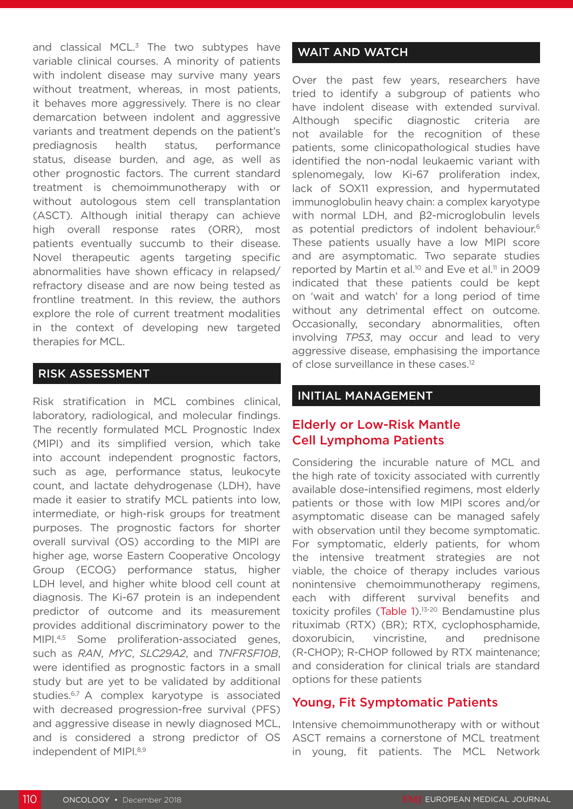and classical MCL.<sup>3</sup> The two subtypes have variable clinical courses. A minority of patients with indolent disease may survive many years without treatment, whereas, in most patients, it behaves more aggressively. There is no clear demarcation between indolent and aggressive variants and treatment depends on the patient's prediagnosis health status, performance status, disease burden, and age, as well as other prognostic factors. The current standard treatment is chemoimmunotherapy with or without autologous stem cell transplantation (ASCT). Although initial therapy can achieve high overall response rates (ORR), most patients eventually succumb to their disease. Novel therapeutic agents targeting specific abnormalities have shown efficacy in relapsed/ refractory disease and are now being tested as frontline treatment. In this review, the authors explore the role of current treatment modalities in the context of developing new targeted therapies for MCL.

#### RISK ASSESSMENT

Risk stratification in MCL combines clinical, laboratory, radiological, and molecular findings. The recently formulated MCL Prognostic Index (MIPI) and its simplified version, which take into account independent prognostic factors, such as age, performance status, leukocyte count, and lactate dehydrogenase (LDH), have made it easier to stratify MCL patients into low, intermediate, or high-risk groups for treatment purposes. The prognostic factors for shorter overall survival (OS) according to the MIPI are higher age, worse Eastern Cooperative Oncology Group (ECOG) performance status, higher LDH level, and higher white blood cell count at diagnosis. The Ki-67 protein is an independent predictor of outcome and its measurement provides additional discriminatory power to the MIPI.4,5 Some proliferation-associated genes, such as *RAN*, *MYC*, *SLC29A2*, and *TNFRSF10B*, were identified as prognostic factors in a small study but are yet to be validated by additional studies.<sup>6,7</sup> A complex karyotype is associated with decreased progression-free survival (PFS) and aggressive disease in newly diagnosed MCL, and is considered a strong predictor of OS independent of MIPI.<sup>8,9</sup>

## WAIT AND WATCH

Over the past few years, researchers have tried to identify a subgroup of patients who have indolent disease with extended survival. Although specific diagnostic criteria are not available for the recognition of these patients, some clinicopathological studies have identified the non-nodal leukaemic variant with splenomegaly, low Ki-67 proliferation index, lack of SOX11 expression, and hypermutated immunoglobulin heavy chain: a complex karyotype with normal LDH, and β2-microglobulin levels as potential predictors of indolent behaviour.6 These patients usually have a low MIPI score and are asymptomatic. Two separate studies reported by Martin et al.<sup>10</sup> and Eve et al.<sup>11</sup> in 2009 indicated that these patients could be kept on 'wait and watch' for a long period of time without any detrimental effect on outcome. Occasionally, secondary abnormalities, often involving *TP53*, may occur and lead to very aggressive disease, emphasising the importance of close surveillance in these cases.12

#### INITIAL MANAGEMENT

## Elderly or Low-Risk Mantle Cell Lymphoma Patients

Considering the incurable nature of MCL and the high rate of toxicity associated with currently available dose-intensified regimens, most elderly patients or those with low MIPI scores and/or asymptomatic disease can be managed safely with observation until they become symptomatic. For symptomatic, elderly patients, for whom the intensive treatment strategies are not viable, the choice of therapy includes various nonintensive chemoimmunotherapy regimens, each with different survival benefits and toxicity profiles (Table  $1$ ).<sup>13-20</sup> Bendamustine plus rituximab (RTX) (BR); RTX, cyclophosphamide, doxorubicin, vincristine, and prednisone (R-CHOP); R-CHOP followed by RTX maintenance; and consideration for clinical trials are standard options for these patients

## Young, Fit Symptomatic Patients

Intensive chemoimmunotherapy with or without ASCT remains a cornerstone of MCL treatment in young, fit patients. The MCL Network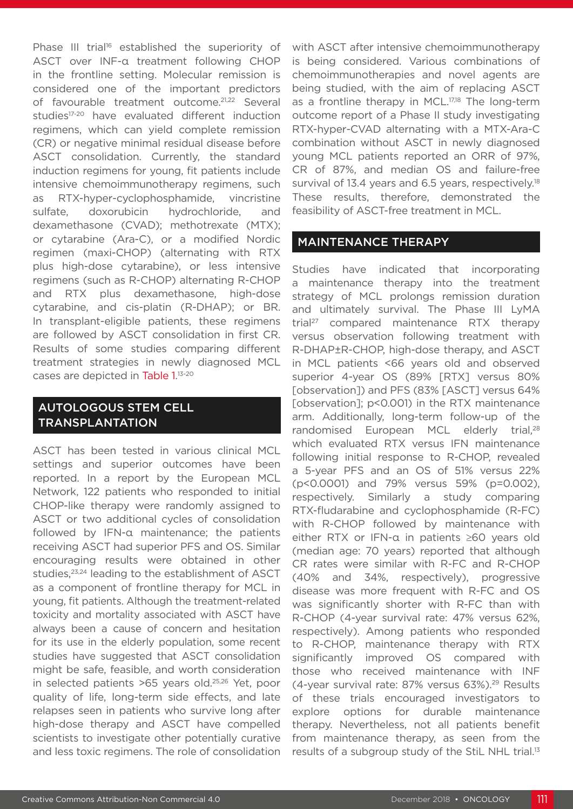Phase III trial<sup>16</sup> established the superiority of ASCT over INF-α treatment following CHOP in the frontline setting. Molecular remission is considered one of the important predictors of favourable treatment outcome.<sup>21,22</sup> Several studies<sup>17-20</sup> have evaluated different induction regimens, which can yield complete remission (CR) or negative minimal residual disease before ASCT consolidation. Currently, the standard induction regimens for young, fit patients include intensive chemoimmunotherapy regimens, such as RTX-hyper-cyclophosphamide, vincristine sulfate, doxorubicin hydrochloride, and dexamethasone (CVAD); methotrexate (MTX); or cytarabine (Ara-C), or a modified Nordic regimen (maxi-CHOP) (alternating with RTX plus high-dose cytarabine), or less intensive regimens (such as R-CHOP) alternating R-CHOP and RTX plus dexamethasone, high-dose cytarabine, and cis-platin (R-DHAP); or BR. In transplant-eligible patients, these regimens are followed by ASCT consolidation in first CR. Results of some studies comparing different treatment strategies in newly diagnosed MCL cases are depicted in Table 1.<sup>13-20</sup>

## AUTOLOGOUS STEM CELL TRANSPLANTATION

ASCT has been tested in various clinical MCL settings and superior outcomes have been reported. In a report by the European MCL Network, 122 patients who responded to initial CHOP-like therapy were randomly assigned to ASCT or two additional cycles of consolidation followed by IFN-α maintenance; the patients receiving ASCT had superior PFS and OS. Similar encouraging results were obtained in other studies,<sup>23,24</sup> leading to the establishment of ASCT as a component of frontline therapy for MCL in young, fit patients. Although the treatment-related toxicity and mortality associated with ASCT have always been a cause of concern and hesitation for its use in the elderly population, some recent studies have suggested that ASCT consolidation might be safe, feasible, and worth consideration in selected patients >65 years old.25,26 Yet, poor quality of life, long-term side effects, and late relapses seen in patients who survive long after high-dose therapy and ASCT have compelled scientists to investigate other potentially curative and less toxic regimens. The role of consolidation

with ASCT after intensive chemoimmunotherapy is being considered. Various combinations of chemoimmunotherapies and novel agents are being studied, with the aim of replacing ASCT as a frontline therapy in MCL.<sup>17,18</sup> The long-term outcome report of a Phase II study investigating RTX-hyper-CVAD alternating with a MTX-Ara-C combination without ASCT in newly diagnosed young MCL patients reported an ORR of 97%, CR of 87%, and median OS and failure-free survival of 13.4 years and 6.5 years, respectively.<sup>18</sup> These results, therefore, demonstrated the feasibility of ASCT-free treatment in MCL.

#### MAINTENANCE THERAPY

Studies have indicated that incorporating a maintenance therapy into the treatment strategy of MCL prolongs remission duration and ultimately survival. The Phase III LyMA trial27 compared maintenance RTX therapy versus observation following treatment with R-DHAP±R-CHOP, high-dose therapy, and ASCT in MCL patients <66 years old and observed superior 4-year OS (89% [RTX] versus 80% [observation]) and PFS (83% [ASCT] versus 64% [observation]; p<0.001) in the RTX maintenance arm. Additionally, long-term follow-up of the randomised European MCL elderly trial,<sup>28</sup> which evaluated RTX versus IFN maintenance following initial response to R-CHOP, revealed a 5-year PFS and an OS of 51% versus 22% (p<0.0001) and 79% versus 59% (p=0.002), respectively. Similarly a study comparing RTX-fludarabine and cyclophosphamide (R-FC) with R-CHOP followed by maintenance with either RTX or IFN-α in patients ≥60 years old (median age: 70 years) reported that although CR rates were similar with R-FC and R-CHOP (40% and 34%, respectively), progressive disease was more frequent with R-FC and OS was significantly shorter with R-FC than with R-CHOP (4-year survival rate: 47% versus 62%, respectively). Among patients who responded to R-CHOP, maintenance therapy with RTX significantly improved OS compared with those who received maintenance with INF (4-year survival rate: 87% versus 63%).29 Results of these trials encouraged investigators to explore options for durable maintenance therapy. Nevertheless, not all patients benefit from maintenance therapy, as seen from the results of a subgroup study of the StiL NHL trial.<sup>13</sup>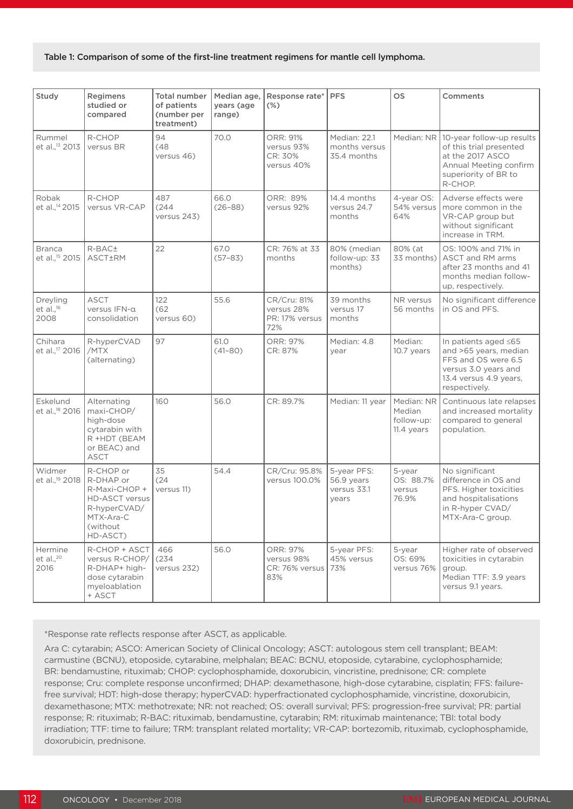#### Table 1: Comparison of some of the first-line treatment regimens for mantle cell lymphoma.

| Study                                       | Regimens<br>studied or<br>compared                                                                                     | <b>Total number</b><br>of patients<br>(number per<br>treatment) | Median age,<br>years (age<br>range) | Response rate*<br>$(\%)$                            | <b>PFS</b>                                        | <b>OS</b>                                        | Comments                                                                                                                                |
|---------------------------------------------|------------------------------------------------------------------------------------------------------------------------|-----------------------------------------------------------------|-------------------------------------|-----------------------------------------------------|---------------------------------------------------|--------------------------------------------------|-----------------------------------------------------------------------------------------------------------------------------------------|
| Rummel<br>et al., <sup>13</sup> 2013        | R-CHOP<br>versus BR                                                                                                    | 94<br>(48)<br>versus 46)                                        | 70.0                                | ORR: 91%<br>versus 93%<br>CR: 30%<br>versus 40%     | Median: 22.1<br>months versus<br>35.4 months      | Median: NR                                       | 10-year follow-up results<br>of this trial presented<br>at the 2017 ASCO<br>Annual Meeting confirm<br>superiority of BR to<br>R-CHOP.   |
| Robak<br>et al., <sup>14</sup> 2015         | R-CHOP<br>versus VR-CAP                                                                                                | 487<br>(244)<br>versus 243)                                     | 66.0<br>$(26 - 88)$                 | ORR: 89%<br>versus 92%                              | 14.4 months<br>versus 24.7<br>months              | 4-year OS:<br>54% versus<br>64%                  | Adverse effects were<br>more common in the<br>VR-CAP group but<br>without significant<br>increase in TRM.                               |
| <b>Branca</b><br>et al., <sup>15</sup> 2015 | R-BAC±<br>ASCT±RM                                                                                                      | 22                                                              | 67.0<br>$(57 - 83)$                 | CR: 76% at 33<br>months                             | 80% (median<br>follow-up: 33<br>months)           | 80% (at<br>33 months)                            | OS: 100% and 71% in<br>ASCT and RM arms<br>after 23 months and 41<br>months median follow-<br>up, respectively.                         |
| Dreyling<br>et al., $16$<br>2008            | <b>ASCT</b><br>versus IFN-a<br>consolidation                                                                           | 122<br>(62)<br>versus 60)                                       | 55.6                                | CR/Cru: 81%<br>versus 28%<br>PR: 17% versus<br>72%  | 39 months<br>versus 17<br>months                  | NR versus<br>56 months                           | No significant difference<br>in OS and PFS.                                                                                             |
| Chihara<br>et al., <sup>17</sup> 2016       | R-hyperCVAD<br>/MTX<br>(alternating)                                                                                   | 97                                                              | 61.0<br>$(41 - 80)$                 | ORR: 97%<br>CR: 87%                                 | Median: 4.8<br>year                               | Median:<br>10.7 years                            | In patients aged ≤65<br>and >65 years, median<br>FFS and OS were 6.5<br>versus 3.0 years and<br>13.4 versus 4.9 years,<br>respectively. |
| Eskelund<br>et al., <sup>18</sup> 2016      | Alternating<br>maxi-CHOP/<br>high-dose<br>cytarabin with<br>R +HDT (BEAM<br>or BEAC) and<br><b>ASCT</b>                | 160                                                             | 56.0                                | CR: 89.7%                                           | Median: 11 year                                   | Median: NR<br>Median<br>follow-up:<br>11.4 years | Continuous late relapses<br>and increased mortality<br>compared to general<br>population.                                               |
| Widmer<br>et al., <sup>19</sup> 2018        | R-CHOP or<br>R-DHAP or<br>R-Maxi-CHOP +<br><b>HD-ASCT versus</b><br>R-hyperCVAD/<br>MTX-Ara-C<br>(without)<br>HD-ASCT) | 35<br>(24)<br>versus 11)                                        | 54.4                                | CR/Cru: 95.8%<br>versus 100.0%                      | 5-year PFS:<br>56.9 years<br>versus 33.1<br>years | 5-year<br>OS: 88.7%<br>versus<br>76.9%           | No significant<br>difference in OS and<br>PFS. Higher toxicities<br>and hospitalisations<br>in R-hyper CVAD/<br>MTX-Ara-C group.        |
| Hermine<br>et al., $20$<br>2016             | R-CHOP + ASCT<br>versus R-CHOP/<br>R-DHAP+ high-<br>dose cytarabin<br>myeloablation<br>+ ASCT                          | 466<br>(234)<br>versus 232)                                     | 56.0                                | ORR: 97%<br>versus 98%<br>CR: 76% versus 73%<br>83% | 5-year PFS:<br>45% versus                         | 5-year<br>OS: 69%<br>versus 76%                  | Higher rate of observed<br>toxicities in cytarabin<br>group.<br>Median TTF: 3.9 years<br>versus 9.1 years.                              |

\*Response rate reflects response after ASCT, as applicable.

Ara C: cytarabin; ASCO: American Society of Clinical Oncology; ASCT: autologous stem cell transplant; BEAM: carmustine (BCNU), etoposide, cytarabine, melphalan; BEAC: BCNU, etoposide, cytarabine, cyclophosphamide; BR: bendamustine, rituximab; CHOP: cyclophosphamide, doxorubicin, vincristine, prednisone; CR: complete response; Cru: complete response unconfirmed; DHAP: dexamethasone, high-dose cytarabine, cisplatin; FFS: failurefree survival; HDT: high-dose therapy; hyperCVAD: hyperfractionated cyclophosphamide, vincristine, doxorubicin, dexamethasone; MTX: methotrexate; NR: not reached; OS: overall survival; PFS: progression-free survival; PR: partial response; R: rituximab; R-BAC: rituximab, bendamustine, cytarabin; RM: rituximab maintenance; TBI: total body irradiation; TTF: time to failure; TRM: transplant related mortality; VR-CAP: bortezomib, rituximab, cyclophosphamide, doxorubicin, prednisone.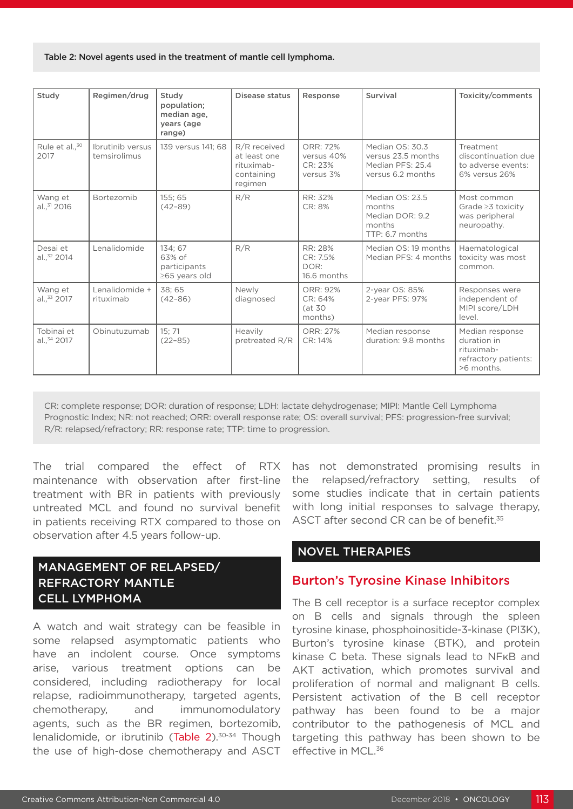#### Table 2: Novel agents used in the treatment of mantle cell lymphoma.

| Study                               | Regimen/drug                     | Study<br>population;<br>median age,<br>years (age<br>range) | Disease status                                                      | Response                                       | Survival                                                                       | Toxicity/comments                                                                  |
|-------------------------------------|----------------------------------|-------------------------------------------------------------|---------------------------------------------------------------------|------------------------------------------------|--------------------------------------------------------------------------------|------------------------------------------------------------------------------------|
| Rule et al., <sup>30</sup><br>2017  | Ibrutinib versus<br>temsirolimus | 139 versus 141: 68                                          | R/R received<br>at least one<br>rituximab-<br>containing<br>regimen | ORR: 72%<br>versus 40%<br>CR: 23%<br>versus 3% | Median OS: 30.3<br>versus 23.5 months<br>Median PFS: 25.4<br>versus 6.2 months | Treatment<br>discontinuation due<br>to adverse events:<br>6% versus 26%            |
| Wang et<br>al., 31 2016             | Bortezomib                       | 155:65<br>$(42 - 89)$                                       | R/R                                                                 | RR: 32%<br>CR: 8%                              | Median OS: 23.5<br>months<br>Median DOR: 9.2<br>months<br>TTP: 6.7 months      | Most common<br>Grade $\geq$ 3 toxicity<br>was peripheral<br>neuropathy.            |
| Desai et<br>al., <sup>32</sup> 2014 | Lenalidomide                     | 134; 67<br>63% of<br>participants<br>≥65 years old          | R/R                                                                 | RR: 28%<br>CR: 7.5%<br>DOR:<br>16.6 months     | Median OS: 19 months<br>Median PFS: 4 months                                   | Haematological<br>toxicity was most<br>common.                                     |
| Wang et<br>al., 33 2017             | Lenalidomide +<br>rituximab      | 38:65<br>$(42 - 86)$                                        | Newly<br>diagnosed                                                  | ORR: 92%<br>CR: 64%<br>(at 30<br>months)       | 2-year OS: 85%<br>2-year PFS: 97%                                              | Responses were<br>independent of<br>MIPI score/LDH<br>level.                       |
| Tobinai et<br>al., 34 2017          | Obinutuzumab                     | 15:71<br>$(22 - 85)$                                        | <b>Heavily</b><br>pretreated R/R                                    | ORR: 27%<br>CR: 14%                            | Median response<br>duration: 9.8 months                                        | Median response<br>duration in<br>rituximab-<br>refractory patients:<br>>6 months. |

CR: complete response; DOR: duration of response; LDH: lactate dehydrogenase; MIPI: Mantle Cell Lymphoma Prognostic Index; NR: not reached; ORR: overall response rate; OS: overall survival; PFS: progression-free survival; R/R: relapsed/refractory; RR: response rate; TTP: time to progression.

The trial compared the effect of RTX maintenance with observation after first-line treatment with BR in patients with previously untreated MCL and found no survival benefit in patients receiving RTX compared to those on observation after 4.5 years follow-up.

# MANAGEMENT OF RELAPSED/ REFRACTORY MANTLE CELL LYMPHOMA

A watch and wait strategy can be feasible in some relapsed asymptomatic patients who have an indolent course. Once symptoms arise, various treatment options can be considered, including radiotherapy for local relapse, radioimmunotherapy, targeted agents, chemotherapy, and immunomodulatory agents, such as the BR regimen, bortezomib, lenalidomide, or ibrutinib (Table  $2$ ).<sup>30-34</sup> Though the use of high-dose chemotherapy and ASCT

has not demonstrated promising results in the relapsed/refractory setting, results of some studies indicate that in certain patients with long initial responses to salvage therapy, ASCT after second CR can be of benefit.<sup>35</sup>

## NOVEL THERAPIES

## Burton's Tyrosine Kinase Inhibitors

The B cell receptor is a surface receptor complex on B cells and signals through the spleen tyrosine kinase, phosphoinositide-3-kinase (PI3K), Burton's tyrosine kinase (BTK), and protein kinase C beta. These signals lead to NFκB and AKT activation, which promotes survival and proliferation of normal and malignant B cells. Persistent activation of the B cell receptor pathway has been found to be a major contributor to the pathogenesis of MCL and targeting this pathway has been shown to be effective in MCL.<sup>36</sup>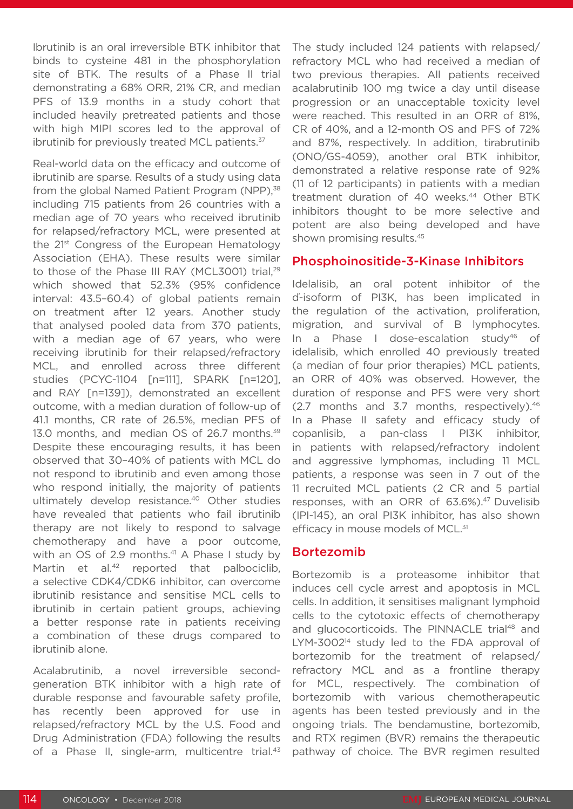Ibrutinib is an oral irreversible BTK inhibitor that binds to cysteine 481 in the phosphorylation site of BTK. The results of a Phase II trial demonstrating a 68% ORR, 21% CR, and median PFS of 13.9 months in a study cohort that included heavily pretreated patients and those with high MIPI scores led to the approval of ibrutinib for previously treated MCL patients.<sup>37</sup>

Real-world data on the efficacy and outcome of ibrutinib are sparse. Results of a study using data from the global Named Patient Program (NPP),<sup>38</sup> including 715 patients from 26 countries with a median age of 70 years who received ibrutinib for relapsed/refractory MCL, were presented at the 21<sup>st</sup> Congress of the European Hematology Association (EHA). These results were similar to those of the Phase III RAY (MCL3001) trial,<sup>29</sup> which showed that 52.3% (95% confidence interval: 43.5–60.4) of global patients remain on treatment after 12 years. Another study that analysed pooled data from 370 patients, with a median age of 67 years, who were receiving ibrutinib for their relapsed/refractory MCL, and enrolled across three different studies (PCYC-1104 [n=111], SPARK [n=120], and RAY [n=139]), demonstrated an excellent outcome, with a median duration of follow-up of 41.1 months, CR rate of 26.5%, median PFS of 13.0 months, and median OS of 26.7 months.<sup>39</sup> Despite these encouraging results, it has been observed that 30–40% of patients with MCL do not respond to ibrutinib and even among those who respond initially, the majority of patients ultimately develop resistance.<sup>40</sup> Other studies have revealed that patients who fail ibrutinib therapy are not likely to respond to salvage chemotherapy and have a poor outcome, with an OS of 2.9 months.<sup>41</sup> A Phase I study by Martin et al.<sup>42</sup> reported that palbociclib, a selective CDK4/CDK6 inhibitor, can overcome ibrutinib resistance and sensitise MCL cells to ibrutinib in certain patient groups, achieving a better response rate in patients receiving a combination of these drugs compared to ibrutinib alone.

Acalabrutinib, a novel irreversible secondgeneration BTK inhibitor with a high rate of durable response and favourable safety profile, has recently been approved for use in relapsed/refractory MCL by the U.S. Food and Drug Administration (FDA) following the results of a Phase II, single-arm, multicentre trial.<sup>43</sup> The study included 124 patients with relapsed/ refractory MCL who had received a median of two previous therapies. All patients received acalabrutinib 100 mg twice a day until disease progression or an unacceptable toxicity level were reached. This resulted in an ORR of 81%, CR of 40%, and a 12-month OS and PFS of 72% and 87%, respectively. In addition, tirabrutinib (ONO/GS-4059), another oral BTK inhibitor, demonstrated a relative response rate of 92% (11 of 12 participants) in patients with a median treatment duration of 40 weeks.<sup>44</sup> Other BTK inhibitors thought to be more selective and potent are also being developed and have shown promising results.45

#### Phosphoinositide-3-Kinase Inhibitors

Idelalisib, an oral potent inhibitor of the ď-isoform of PI3K, has been implicated in the regulation of the activation, proliferation, migration, and survival of B lymphocytes. In a Phase I dose-escalation study<sup>46</sup> of idelalisib, which enrolled 40 previously treated (a median of four prior therapies) MCL patients, an ORR of 40% was observed. However, the duration of response and PFS were very short (2.7 months and 3.7 months, respectively).46 In a Phase II safety and efficacy study of copanlisib, a pan-class I PI3K inhibitor, in patients with relapsed/refractory indolent and aggressive lymphomas, including 11 MCL patients, a response was seen in 7 out of the 11 recruited MCL patients (2 CR and 5 partial responses, with an ORR of 63.6%).<sup>47</sup> Duvelisib (IPI-145), an oral PI3K inhibitor, has also shown efficacy in mouse models of MCL.<sup>31</sup>

#### Bortezomib

Bortezomib is a proteasome inhibitor that induces cell cycle arrest and apoptosis in MCL cells. In addition, it sensitises malignant lymphoid cells to the cytotoxic effects of chemotherapy and glucocorticoids. The PINNACLE trial<sup>48</sup> and LYM-3002<sup>14</sup> study led to the FDA approval of bortezomib for the treatment of relapsed/ refractory MCL and as a frontline therapy for MCL, respectively. The combination of bortezomib with various chemotherapeutic agents has been tested previously and in the ongoing trials. The bendamustine, bortezomib, and RTX regimen (BVR) remains the therapeutic pathway of choice. The BVR regimen resulted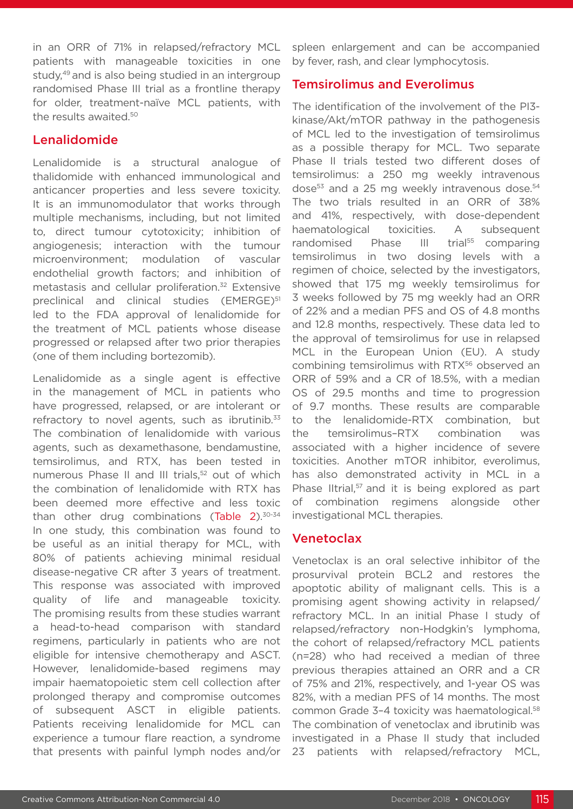in an ORR of 71% in relapsed/refractory MCL patients with manageable toxicities in one study,<sup>49</sup> and is also being studied in an intergroup randomised Phase III trial as a frontline therapy for older, treatment-naïve MCL patients, with the results awaited.<sup>50</sup>

# Lenalidomide

Lenalidomide is a structural analogue of thalidomide with enhanced immunological and anticancer properties and less severe toxicity. It is an immunomodulator that works through multiple mechanisms, including, but not limited to, direct tumour cytotoxicity; inhibition of angiogenesis; interaction with the tumour microenvironment; modulation of vascular endothelial growth factors; and inhibition of metastasis and cellular proliferation.<sup>32</sup> Extensive preclinical and clinical studies (EMERGE)<sup>51</sup> led to the FDA approval of lenalidomide for the treatment of MCL patients whose disease progressed or relapsed after two prior therapies (one of them including bortezomib).

Lenalidomide as a single agent is effective in the management of MCL in patients who have progressed, relapsed, or are intolerant or refractory to novel agents, such as ibrutinib. $33$ The combination of lenalidomide with various agents, such as dexamethasone, bendamustine, temsirolimus, and RTX, has been tested in numerous Phase II and III trials,<sup>52</sup> out of which the combination of lenalidomide with RTX has been deemed more effective and less toxic than other drug combinations (Table 2).<sup>30-34</sup> In one study, this combination was found to be useful as an initial therapy for MCL, with 80% of patients achieving minimal residual disease-negative CR after 3 years of treatment. This response was associated with improved quality of life and manageable toxicity. The promising results from these studies warrant a head-to-head comparison with standard regimens, particularly in patients who are not eligible for intensive chemotherapy and ASCT. However, lenalidomide-based regimens may impair haematopoietic stem cell collection after prolonged therapy and compromise outcomes of subsequent ASCT in eligible patients. Patients receiving lenalidomide for MCL can experience a tumour flare reaction, a syndrome that presents with painful lymph nodes and/or

spleen enlargement and can be accompanied by fever, rash, and clear lymphocytosis.

#### Temsirolimus and Everolimus

The identification of the involvement of the PI3 kinase/Akt/mTOR pathway in the pathogenesis of MCL led to the investigation of temsirolimus as a possible therapy for MCL. Two separate Phase II trials tested two different doses of temsirolimus: a 250 mg weekly intravenous dose<sup>53</sup> and a 25 mg weekly intravenous dose.<sup>54</sup> The two trials resulted in an ORR of 38% and 41%, respectively, with dose-dependent haematological toxicities. A subsequent randomised Phase III trial<sup>55</sup> comparing temsirolimus in two dosing levels with a regimen of choice, selected by the investigators, showed that 175 mg weekly temsirolimus for 3 weeks followed by 75 mg weekly had an ORR of 22% and a median PFS and OS of 4.8 months and 12.8 months, respectively. These data led to the approval of temsirolimus for use in relapsed MCL in the European Union (EU). A study combining temsirolimus with RTX<sup>56</sup> observed an ORR of 59% and a CR of 18.5%, with a median OS of 29.5 months and time to progression of 9.7 months. These results are comparable to the lenalidomide-RTX combination, but the temsirolimus–RTX combination was associated with a higher incidence of severe toxicities. Another mTOR inhibitor, everolimus, has also demonstrated activity in MCL in a Phase IItrial,<sup>57</sup> and it is being explored as part of combination regimens alongside other investigational MCL therapies.

## Venetoclax

Venetoclax is an oral selective inhibitor of the prosurvival protein BCL2 and restores the apoptotic ability of malignant cells. This is a promising agent showing activity in relapsed/ refractory MCL. In an initial Phase I study of relapsed/refractory non-Hodgkin's lymphoma, the cohort of relapsed/refractory MCL patients (n=28) who had received a median of three previous therapies attained an ORR and a CR of 75% and 21%, respectively, and 1-year OS was 82%, with a median PFS of 14 months. The most common Grade 3-4 toxicity was haematological.<sup>58</sup> The combination of venetoclax and ibrutinib was investigated in a Phase II study that included 23 patients with relapsed/refractory MCL,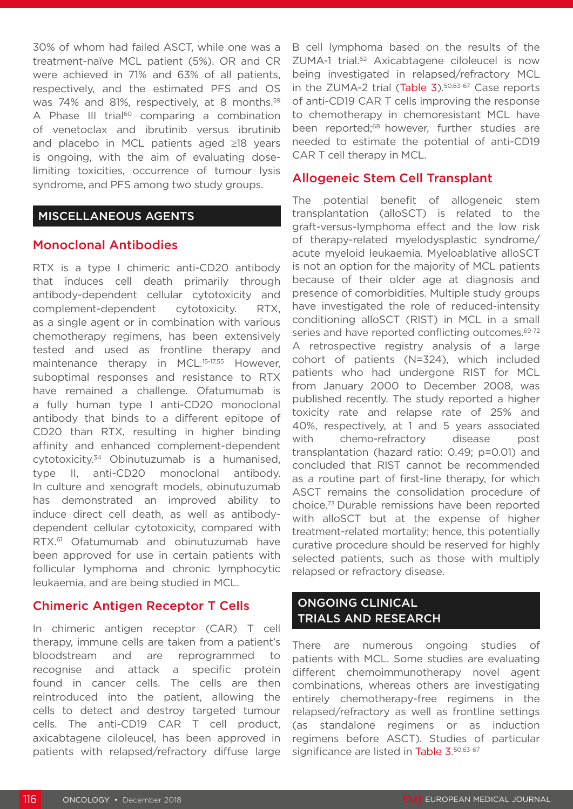30% of whom had failed ASCT, while one was a treatment-naïve MCL patient (5%). OR and CR were achieved in 71% and 63% of all patients, respectively, and the estimated PFS and OS was 74% and 81%, respectively, at 8 months.<sup>59</sup> A Phase III trial<sup>60</sup> comparing a combination of venetoclax and ibrutinib versus ibrutinib and placebo in MCL patients aged ≥18 years is ongoing, with the aim of evaluating doselimiting toxicities, occurrence of tumour lysis syndrome, and PFS among two study groups.

#### MISCELLANEOUS AGENTS

#### Monoclonal Antibodies

RTX is a type I chimeric anti-CD20 antibody that induces cell death primarily through antibody-dependent cellular cytotoxicity and complement-dependent cytotoxicity. RTX, as a single agent or in combination with various chemotherapy regimens, has been extensively tested and used as frontline therapy and maintenance therapy in MCL.<sup>15-17,55</sup> However. suboptimal responses and resistance to RTX have remained a challenge. Ofatumumab is a fully human type I anti-CD20 monoclonal antibody that binds to a different epitope of CD20 than RTX, resulting in higher binding affinity and enhanced complement-dependent cytotoxicity.34 Obinutuzumab is a humanised, type II, anti-CD20 monoclonal antibody. In culture and xenograft models, obinutuzumab has demonstrated an improved ability to induce direct cell death, as well as antibodydependent cellular cytotoxicity, compared with RTX.<sup>61</sup> Ofatumumab and obinutuzumab have been approved for use in certain patients with follicular lymphoma and chronic lymphocytic leukaemia, and are being studied in MCL.

## Chimeric Antigen Receptor T Cells

In chimeric antigen receptor (CAR) T cell therapy, immune cells are taken from a patient's bloodstream and are reprogrammed to recognise and attack a specific protein found in cancer cells. The cells are then reintroduced into the patient, allowing the cells to detect and destroy targeted tumour cells. The anti-CD19 CAR T cell product, axicabtagene ciloleucel, has been approved in patients with relapsed/refractory diffuse large

B cell lymphoma based on the results of the ZUMA-1 trial.<sup>62</sup> Axicabtagene ciloleucel is now being investigated in relapsed/refractory MCL in the ZUMA-2 trial (Table 3).<sup>50,63-67</sup> Case reports of anti-CD19 CAR T cells improving the response to chemotherapy in chemoresistant MCL have been reported;<sup>68</sup> however, further studies are needed to estimate the potential of anti-CD19 CAR T cell therapy in MCL.

#### Allogeneic Stem Cell Transplant

The potential benefit of allogeneic stem transplantation (alloSCT) is related to the graft-versus-lymphoma effect and the low risk of therapy-related myelodysplastic syndrome/ acute myeloid leukaemia. Myeloablative alloSCT is not an option for the majority of MCL patients because of their older age at diagnosis and presence of comorbidities. Multiple study groups have investigated the role of reduced-intensity conditioning alloSCT (RIST) in MCL in a small series and have reported conflicting outcomes.<sup>69-72</sup> A retrospective registry analysis of a large cohort of patients (N=324), which included patients who had undergone RIST for MCL from January 2000 to December 2008, was published recently. The study reported a higher toxicity rate and relapse rate of 25% and 40%, respectively, at 1 and 5 years associated with chemo-refractory disease post transplantation (hazard ratio: 0.49; p=0.01) and concluded that RIST cannot be recommended as a routine part of first-line therapy, for which ASCT remains the consolidation procedure of choice.73 Durable remissions have been reported with alloSCT but at the expense of higher treatment-related mortality; hence, this potentially curative procedure should be reserved for highly selected patients, such as those with multiply relapsed or refractory disease.

#### ONGOING CLINICAL TRIALS AND RESEARCH

There are numerous ongoing studies of patients with MCL. Some studies are evaluating different chemoimmunotherapy novel agent combinations, whereas others are investigating entirely chemotherapy-free regimens in the relapsed/refractory as well as frontline settings (as standalone regimens or as induction regimens before ASCT). Studies of particular significance are listed in Table 3.50,63-67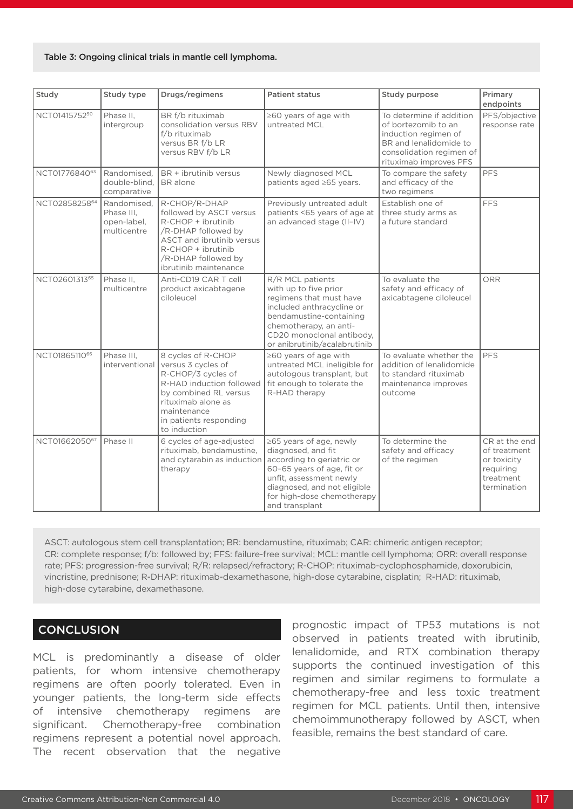#### Table 3: Ongoing clinical trials in mantle cell lymphoma.

| Study         | Study type                                              | Drugs/regimens                                                                                                                                                                                     | <b>Patient status</b>                                                                                                                                                                                               | Study purpose                                                                                                                                           | Primary<br>endpoints                                                                  |
|---------------|---------------------------------------------------------|----------------------------------------------------------------------------------------------------------------------------------------------------------------------------------------------------|---------------------------------------------------------------------------------------------------------------------------------------------------------------------------------------------------------------------|---------------------------------------------------------------------------------------------------------------------------------------------------------|---------------------------------------------------------------------------------------|
| NCT0141575250 | Phase II,<br>intergroup                                 | BR f/b rituximab<br>consolidation versus RBV<br>f/b rituximab<br>versus BR f/b LR<br>versus RBV f/b LR                                                                                             | ≥60 years of age with<br>untreated MCL                                                                                                                                                                              | To determine if addition<br>of bortezomib to an<br>induction regimen of<br>BR and lenalidomide to<br>consolidation regimen of<br>rituximab improves PFS | PFS/objective<br>response rate                                                        |
| NCT0177684063 | Randomised.<br>double-blind.<br>comparative             | BR + ibrutinib versus<br>BR alone                                                                                                                                                                  | Newly diagnosed MCL<br>patients aged ≥65 years.                                                                                                                                                                     | To compare the safety<br>and efficacy of the<br>two regimens                                                                                            | PFS                                                                                   |
| NCT0285825864 | Randomised.<br>Phase III.<br>open-label,<br>multicentre | R-CHOP/R-DHAP<br>followed by ASCT versus<br>R-CHOP + ibrutinib<br>/R-DHAP followed by<br>ASCT and ibrutinib versus<br>R-CHOP + ibrutinib<br>/R-DHAP followed by<br>ibrutinib maintenance           | Previously untreated adult<br>patients <65 years of age at<br>an advanced stage (II-IV)                                                                                                                             | Establish one of<br>three study arms as<br>a future standard                                                                                            | <b>FFS</b>                                                                            |
| NCT0260131365 | Phase II.<br>multicentre                                | Anti-CD19 CAR T cell<br>product axicabtagene<br>ciloleucel                                                                                                                                         | R/R MCL patients<br>with up to five prior<br>regimens that must have<br>included anthracycline or<br>bendamustine-containing<br>chemotherapy, an anti-<br>CD20 monoclonal antibody,<br>or anibrutinib/acalabrutinib | To evaluate the<br>safety and efficacy of<br>axicabtagene ciloleucel                                                                                    | ORR                                                                                   |
| NCT0186511066 | Phase III,<br>interventional                            | 8 cycles of R-CHOP<br>versus 3 cycles of<br>R-CHOP/3 cycles of<br>R-HAD induction followed<br>by combined RL versus<br>rituximab alone as<br>maintenance<br>in patients responding<br>to induction | ≥60 years of age with<br>untreated MCL ineligible for<br>autologous transplant, but<br>fit enough to tolerate the<br>R-HAD therapy                                                                                  | To evaluate whether the<br>addition of lenalidomide<br>to standard rituximab<br>maintenance improves<br>outcome                                         | <b>PFS</b>                                                                            |
| NCT0166205067 | Phase II                                                | 6 cycles of age-adjusted<br>rituximab, bendamustine,<br>and cytarabin as induction<br>therapy                                                                                                      | ≥65 years of age, newly<br>diagnosed, and fit<br>according to geriatric or<br>60-65 years of age, fit or<br>unfit, assessment newly<br>diagnosed, and not eligible<br>for high-dose chemotherapy<br>and transplant  | To determine the<br>safety and efficacy<br>of the regimen                                                                                               | CR at the end<br>of treatment<br>or toxicity<br>requiring<br>treatment<br>termination |

ASCT: autologous stem cell transplantation; BR: bendamustine, rituximab; CAR: chimeric antigen receptor; CR: complete response; f/b: followed by; FFS: failure-free survival; MCL: mantle cell lymphoma; ORR: overall response rate; PFS: progression-free survival; R/R: relapsed/refractory; R-CHOP: rituximab-cyclophosphamide, doxorubicin, vincristine, prednisone; R-DHAP: rituximab-dexamethasone, high-dose cytarabine, cisplatin; R-HAD: rituximab, high-dose cytarabine, dexamethasone.

#### **CONCLUSION**

MCL is predominantly a disease of older patients, for whom intensive chemotherapy regimens are often poorly tolerated. Even in younger patients, the long-term side effects of intensive chemotherapy regimens are significant. Chemotherapy-free combination regimens represent a potential novel approach. The recent observation that the negative

prognostic impact of TP53 mutations is not observed in patients treated with ibrutinib, lenalidomide, and RTX combination therapy supports the continued investigation of this regimen and similar regimens to formulate a chemotherapy-free and less toxic treatment regimen for MCL patients. Until then, intensive chemoimmunotherapy followed by ASCT, when feasible, remains the best standard of care.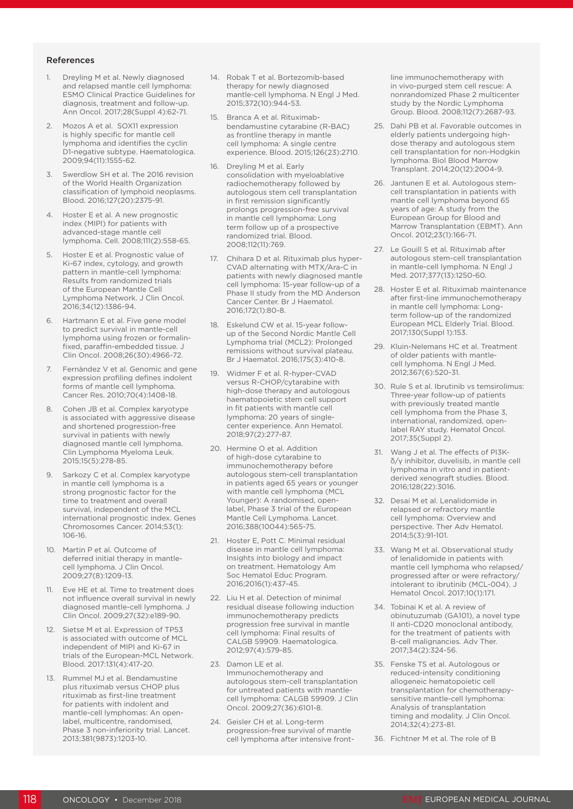#### References

- 1. Dreyling M et al. Newly diagnosed and relapsed mantle cell lymphoma: ESMO Clinical Practice Guidelines for diagnosis, treatment and follow-up. Ann Oncol. 2017;28(Suppl 4):62-71.
- Mozos A et al. SOX11 expression is highly specific for mantle cell lymphoma and identifies the cyclin D1-negative subtype. Haematologica. 2009;94(11):1555-62.
- 3. Swerdlow SH et al. The 2016 revision of the World Health Organization classification of lymphoid neoplasms. Blood. 2016;127(20):2375-91.
- 4. Hoster E et al. A new prognostic index (MIPI) for patients with advanced-stage mantle cell lymphoma. Cell. 2008;111(2):558-65.
- 5. Hoster E et al. Prognostic value of Ki-67 index, cytology, and growth pattern in mantle-cell lymphoma: Results from randomized trials of the European Mantle Cell Lymphoma Network. J Clin Oncol. 2016;34(12):1386-94.
- Hartmann E et al. Five gene model to predict survival in mantle-cell lymphoma using frozen or formalinfixed, paraffin-embedded tissue. J Clin Oncol. 2008;26(30):4966-72.
- 7. Fernàndez V et al. Genomic and gene expression profiling defines indolent forms of mantle cell lymphoma. Cancer Res. 2010;70(4):1408-18.
- Cohen JB et al. Complex karyotype is associated with aggressive disease and shortened progression-free survival in patients with newly diagnosed mantle cell lymphoma. Clin Lymphoma Myeloma Leuk. 2015;15(5):278-85.
- 9. Sarkozy C et al. Complex karyotype in mantle cell lymphoma is a strong prognostic factor for the time to treatment and overall survival, independent of the MCL international prognostic index. Genes Chromosomes Cancer. 2014;53(1):  $106 - 16$
- 10. Martin P et al. Outcome of deferred initial therapy in mantlecell lymphoma. J Clin Oncol. 2009;27(8):1209-13.
- 11. Eve HE et al. Time to treatment does not influence overall survival in newly diagnosed mantle-cell lymphoma. J Clin Oncol. 2009;27(32):e189-90.
- 12. Sietse M et al. Expression of TP53 is associated with outcome of MCL independent of MIPI and Ki-67 in trials of the European-MCL Network. Blood. 2017:131(4):417-20.
- 13. Rummel MJ et al. Bendamustine plus rituximab versus CHOP plus rituximab as first-line treatment for patients with indolent and mantle-cell lymphomas: An openlabel, multicentre, randomised, Phase 3 non-inferiority trial. Lancet. 2013;381(9873):1203-10.
- 14. Robak T et al. Bortezomib-based therapy for newly diagnosed mantle-cell lymphoma. N Engl J Med. 2015;372(10):944-53.
- 15. Branca A et al. Rituximabbendamustine cytarabine (R-BAC) as frontline therapy in mantle cell lymphoma: A single centre experience. Blood. 2015;126(23):2710.
- 16. Dreyling M et al. Early consolidation with myeloablative radiochemotherapy followed by autologous stem cell transplantation in first remission significantly prolongs progression-free survival in mantle cell lymphoma: Long term follow up of a prospective randomized trial. Blood. 2008;112(11):769.
- 17. Chihara D et al. Rituximab plus hyper-CVAD alternating with MTX/Ara-C in patients with newly diagnosed mantle cell lymphoma: 15-year follow-up of a Phase II study from the MD Anderson Cancer Center. Br J Haematol. 2016;172(1):80-8.
- 18. Eskelund CW et al. 15-year followup of the Second Nordic Mantle Cell Lymphoma trial (MCL2): Prolonged remissions without survival plateau. Br J Haematol. 2016;175(3):410-8.
- 19. Widmer F et al. R-hyper-CVAD versus R-CHOP/cytarabine with high-dose therapy and autologous haematopoietic stem cell support in fit patients with mantle cell lymphoma: 20 years of singlecenter experience. Ann Hematol. 2018;97(2):277-87.
- 20. Hermine O et al. Addition of high-dose cytarabine to immunochemotherapy before autologous stem-cell transplantation in patients aged 65 years or younger with mantle cell lymphoma (MCL Younger): A randomised, openlabel, Phase 3 trial of the European Mantle Cell Lymphoma. Lancet. 2016;388(10044):565-75.
- 21. Hoster E, Pott C. Minimal residual disease in mantle cell lymphoma: Insights into biology and impact on treatment. Hematology Am Soc Hematol Educ Program. 2016;2016(1):437-45.
- 22. Liu H et al. Detection of minimal residual disease following induction immunochemotherapy predicts progression free survival in mantle cell lymphoma: Final results of CALGB 59909. Haematologica. 2012;97(4):579-85.
- 23. Damon LE et al. Immunochemotherapy and autologous stem-cell transplantation for untreated patients with mantlecell lymphoma: CALGB 59909. J Clin Oncol. 2009;27(36):6101-8.
- 24. Geisler CH et al. Long-term progression-free survival of mantle cell lymphoma after intensive front-

line immunochemotherapy with in vivo-purged stem cell rescue: A nonrandomized Phase 2 multicenter study by the Nordic Lymphoma Group. Blood. 2008;112(7):2687-93.

- 25. Dahi PB et al. Favorable outcomes in elderly patients undergoing highdose therapy and autologous stem cell transplantation for non-Hodgkin lymphoma. Biol Blood Marrow Transplant. 2014;20(12):2004-9.
- 26. Jantunen E et al. Autologous stemcell transplantation in patients with mantle cell lymphoma beyond 65 years of age: A study from the European Group for Blood and Marrow Transplantation (EBMT). Ann Oncol. 2012;23(1):166-71.
- 27. Le Gouill S et al. Rituximab after autologous stem-cell transplantation in mantle-cell lymphoma. N Engl J Med. 2017;377(13):1250-60.
- 28. Hoster E et al. Rituximab maintenance after first-line immunochemotherapy in mantle cell lymphoma: Longterm follow-up of the randomized European MCL Elderly Trial. Blood. 2017;130(Suppl 1):153.
- 29. Kluin-Nelemans HC et al. Treatment of older patients with mantlecell lymphoma. N Engl J Med. 2012;367(6):520-31.
- 30. Rule S et al. Ibrutinib vs temsirolimus: Three-year follow-up of patients with previously treated mantle cell lymphoma from the Phase 3, international, randomized, openlabel RAY study. Hematol Oncol. 2017;35(Suppl 2).
- 31. Wang J et al. The effects of PI3Kδ/γ inhibitor, duvelisib, in mantle cell lymphoma in vitro and in patientderived xenograft studies. Blood. 2016;128(22):3016.
- 32. Desai M et al. Lenalidomide in relapsed or refractory mantle cell lymphoma: Overview and perspective. Ther Adv Hematol. 2014;5(3):91-101.
- 33. Wang M et al. Observational study of lenalidomide in patients with mantle cell lymphoma who relapsed/ progressed after or were refractory/ intolerant to ibrutinib (MCL-004). J Hematol Oncol. 2017;10(1):171.
- 34. Tobinai K et al. A review of obinutuzumab (GA101), a novel type II anti-CD20 monoclonal antibody, for the treatment of patients with B-cell malignancies. Adv Ther. 2017;34(2):324-56.
- 35. Fenske TS et al. Autologous or reduced-intensity conditioning allogeneic hematopoietic cell transplantation for chemotherapysensitive mantle-cell lymphoma: Analysis of transplantation timing and modality. J Clin Oncol. 2014;32(4):273-81.
- 36. Fichtner M et al. The role of B